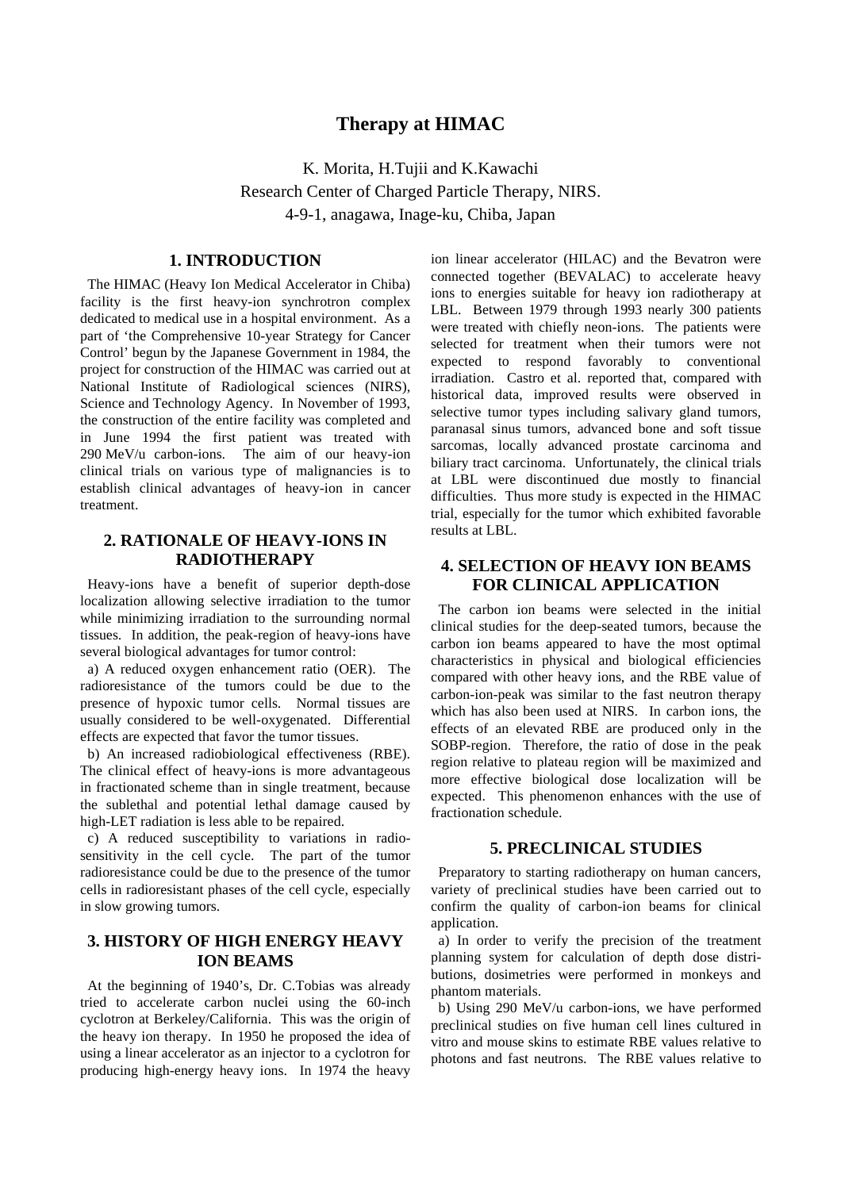# **Therapy at HIMAC**

K. Morita, H.Tujii and K.Kawachi Research Center of Charged Particle Therapy, NIRS. 4-9-1, anagawa, Inage-ku, Chiba, Japan

#### **1. INTRODUCTION**

 The HIMAC (Heavy Ion Medical Accelerator in Chiba) facility is the first heavy-ion synchrotron complex dedicated to medical use in a hospital environment. As a part of 'the Comprehensive 10-year Strategy for Cancer Control' begun by the Japanese Government in 1984, the project for construction of the HIMAC was carried out at National Institute of Radiological sciences (NIRS), Science and Technology Agency. In November of 1993, the construction of the entire facility was completed and in June 1994 the first patient was treated with 290 MeV/u carbon-ions. The aim of our heavy-ion clinical trials on various type of malignancies is to establish clinical advantages of heavy-ion in cancer treatment.

### **2. RATIONALE OF HEAVY-IONS IN RADIOTHERAPY**

 Heavy-ions have a benefit of superior depth-dose localization allowing selective irradiation to the tumor while minimizing irradiation to the surrounding normal tissues. In addition, the peak-region of heavy-ions have several biological advantages for tumor control:

 a) A reduced oxygen enhancement ratio (OER). The radioresistance of the tumors could be due to the presence of hypoxic tumor cells. Normal tissues are usually considered to be well-oxygenated. Differential effects are expected that favor the tumor tissues.

 b) An increased radiobiological effectiveness (RBE). The clinical effect of heavy-ions is more advantageous in fractionated scheme than in single treatment, because the sublethal and potential lethal damage caused by high-LET radiation is less able to be repaired.

 c) A reduced susceptibility to variations in radiosensitivity in the cell cycle. The part of the tumor radioresistance could be due to the presence of the tumor cells in radioresistant phases of the cell cycle, especially in slow growing tumors.

#### **3. HISTORY OF HIGH ENERGY HEAVY ION BEAMS**

 At the beginning of 1940's, Dr. C.Tobias was already tried to accelerate carbon nuclei using the 60-inch cyclotron at Berkeley/California. This was the origin of the heavy ion therapy. In 1950 he proposed the idea of using a linear accelerator as an injector to a cyclotron for producing high-energy heavy ions. In 1974 the heavy ion linear accelerator (HILAC) and the Bevatron were connected together (BEVALAC) to accelerate heavy ions to energies suitable for heavy ion radiotherapy at LBL. Between 1979 through 1993 nearly 300 patients were treated with chiefly neon-ions. The patients were selected for treatment when their tumors were not expected to respond favorably to conventional irradiation. Castro et al. reported that, compared with historical data, improved results were observed in selective tumor types including salivary gland tumors, paranasal sinus tumors, advanced bone and soft tissue sarcomas, locally advanced prostate carcinoma and biliary tract carcinoma. Unfortunately, the clinical trials at LBL were discontinued due mostly to financial difficulties. Thus more study is expected in the HIMAC trial, especially for the tumor which exhibited favorable results at LBL.

# **4. SELECTION OF HEAVY ION BEAMS FOR CLINICAL APPLICATION**

 The carbon ion beams were selected in the initial clinical studies for the deep-seated tumors, because the carbon ion beams appeared to have the most optimal characteristics in physical and biological efficiencies compared with other heavy ions, and the RBE value of carbon-ion-peak was similar to the fast neutron therapy which has also been used at NIRS. In carbon ions, the effects of an elevated RBE are produced only in the SOBP-region. Therefore, the ratio of dose in the peak region relative to plateau region will be maximized and more effective biological dose localization will be expected. This phenomenon enhances with the use of fractionation schedule.

#### **5. PRECLINICAL STUDIES**

 Preparatory to starting radiotherapy on human cancers, variety of preclinical studies have been carried out to confirm the quality of carbon-ion beams for clinical application.

 a) In order to verify the precision of the treatment planning system for calculation of depth dose distributions, dosimetries were performed in monkeys and phantom materials.

 b) Using 290 MeV/u carbon-ions, we have performed preclinical studies on five human cell lines cultured in vitro and mouse skins to estimate RBE values relative to photons and fast neutrons. The RBE values relative to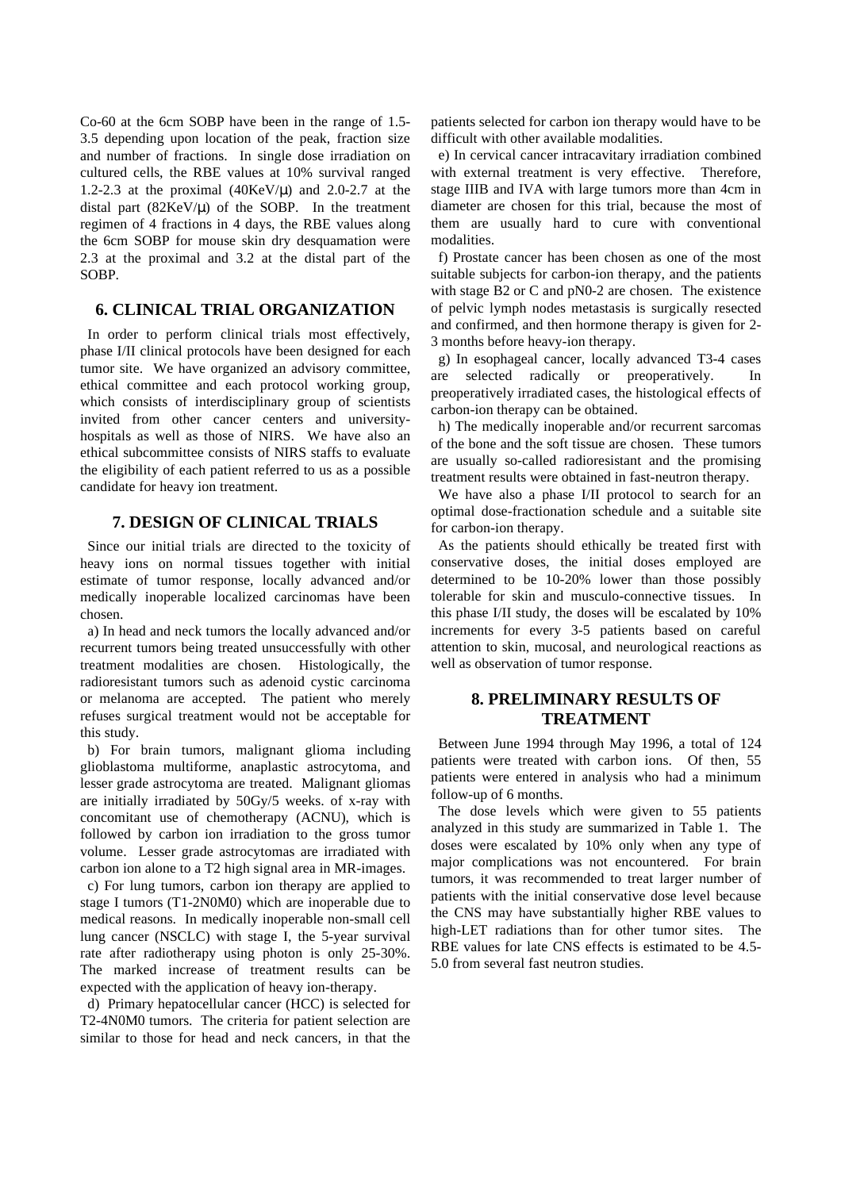Co-60 at the 6cm SOBP have been in the range of 1.5- 3.5 depending upon location of the peak, fraction size and number of fractions. In single dose irradiation on cultured cells, the RBE values at 10% survival ranged 1.2-2.3 at the proximal  $(40 \text{KeV}/\mu)$  and 2.0-2.7 at the distal part  $(82KeV/\mu)$  of the SOBP. In the treatment regimen of 4 fractions in 4 days, the RBE values along the 6cm SOBP for mouse skin dry desquamation were 2.3 at the proximal and 3.2 at the distal part of the SOBP.

### **6. CLINICAL TRIAL ORGANIZATION**

 In order to perform clinical trials most effectively, phase I/II clinical protocols have been designed for each tumor site. We have organized an advisory committee, ethical committee and each protocol working group, which consists of interdisciplinary group of scientists invited from other cancer centers and universityhospitals as well as those of NIRS. We have also an ethical subcommittee consists of NIRS staffs to evaluate the eligibility of each patient referred to us as a possible candidate for heavy ion treatment.

# **7. DESIGN OF CLINICAL TRIALS**

 Since our initial trials are directed to the toxicity of heavy ions on normal tissues together with initial estimate of tumor response, locally advanced and/or medically inoperable localized carcinomas have been chosen.

 a) In head and neck tumors the locally advanced and/or recurrent tumors being treated unsuccessfully with other treatment modalities are chosen. Histologically, the radioresistant tumors such as adenoid cystic carcinoma or melanoma are accepted. The patient who merely refuses surgical treatment would not be acceptable for this study.

 b) For brain tumors, malignant glioma including glioblastoma multiforme, anaplastic astrocytoma, and lesser grade astrocytoma are treated. Malignant gliomas are initially irradiated by 50Gy/5 weeks. of x-ray with concomitant use of chemotherapy (ACNU), which is followed by carbon ion irradiation to the gross tumor volume. Lesser grade astrocytomas are irradiated with carbon ion alone to a T2 high signal area in MR-images.

 c) For lung tumors, carbon ion therapy are applied to stage I tumors (T1-2N0M0) which are inoperable due to medical reasons. In medically inoperable non-small cell lung cancer (NSCLC) with stage I, the 5-year survival rate after radiotherapy using photon is only 25-30%. The marked increase of treatment results can be expected with the application of heavy ion-therapy.

 d) Primary hepatocellular cancer (HCC) is selected for T2-4N0M0 tumors. The criteria for patient selection are similar to those for head and neck cancers, in that the patients selected for carbon ion therapy would have to be difficult with other available modalities.

 e) In cervical cancer intracavitary irradiation combined with external treatment is very effective. Therefore, stage IIIB and IVA with large tumors more than 4cm in diameter are chosen for this trial, because the most of them are usually hard to cure with conventional modalities.

 f) Prostate cancer has been chosen as one of the most suitable subjects for carbon-ion therapy, and the patients with stage B2 or C and pN0-2 are chosen. The existence of pelvic lymph nodes metastasis is surgically resected and confirmed, and then hormone therapy is given for 2- 3 months before heavy-ion therapy.

 g) In esophageal cancer, locally advanced T3-4 cases are selected radically or preoperatively. In preoperatively irradiated cases, the histological effects of carbon-ion therapy can be obtained.

 h) The medically inoperable and/or recurrent sarcomas of the bone and the soft tissue are chosen. These tumors are usually so-called radioresistant and the promising treatment results were obtained in fast-neutron therapy.

 We have also a phase I/II protocol to search for an optimal dose-fractionation schedule and a suitable site for carbon-ion therapy.

 As the patients should ethically be treated first with conservative doses, the initial doses employed are determined to be 10-20% lower than those possibly tolerable for skin and musculo-connective tissues. In this phase I/II study, the doses will be escalated by 10% increments for every 3-5 patients based on careful attention to skin, mucosal, and neurological reactions as well as observation of tumor response.

### **8. PRELIMINARY RESULTS OF TREATMENT**

 Between June 1994 through May 1996, a total of 124 patients were treated with carbon ions. Of then, 55 patients were entered in analysis who had a minimum follow-up of 6 months.

 The dose levels which were given to 55 patients analyzed in this study are summarized in Table 1. The doses were escalated by 10% only when any type of major complications was not encountered. For brain tumors, it was recommended to treat larger number of patients with the initial conservative dose level because the CNS may have substantially higher RBE values to high-LET radiations than for other tumor sites. The RBE values for late CNS effects is estimated to be 4.5- 5.0 from several fast neutron studies.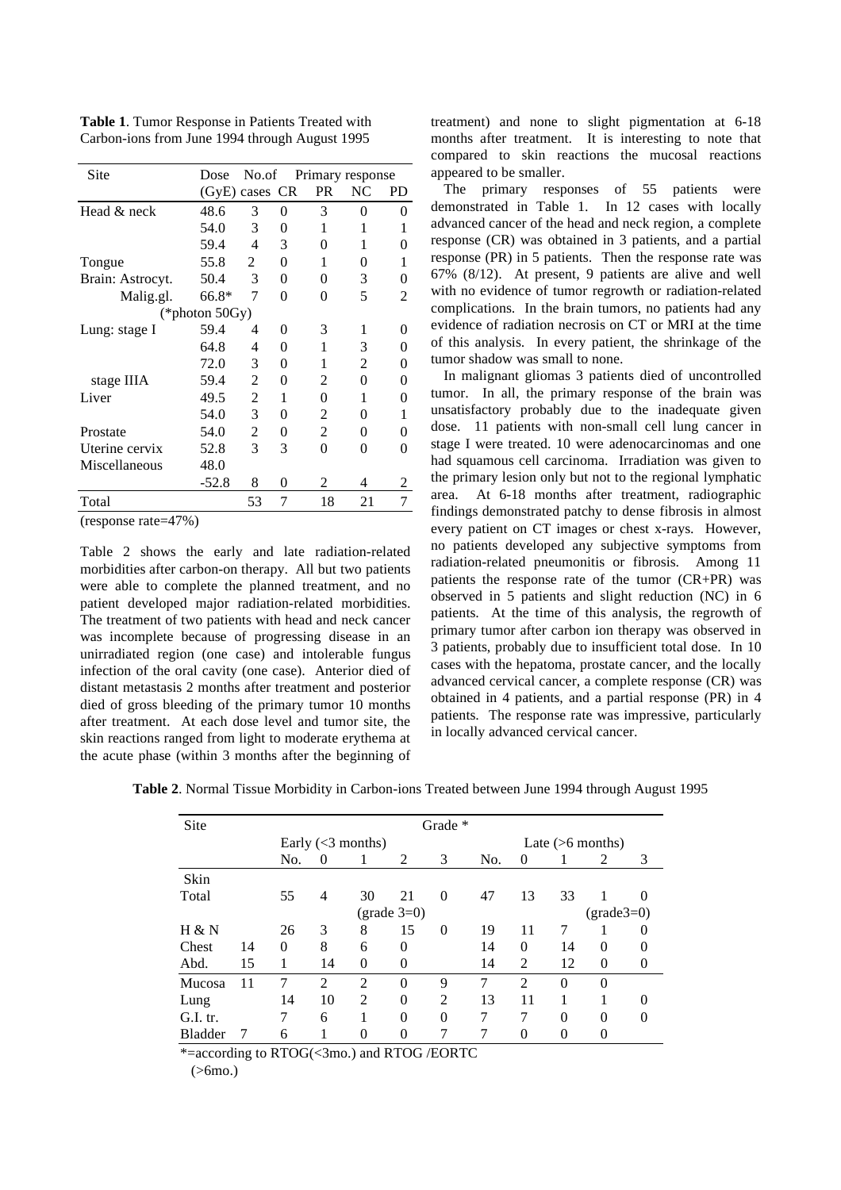| Site              | Dose           | No.of          |          | Primary response |    |           |  |  |
|-------------------|----------------|----------------|----------|------------------|----|-----------|--|--|
|                   | (GyE) cases CR |                |          | <b>PR</b>        | NC | <b>PD</b> |  |  |
| Head & neck       | 48.6           | 3              | 0        | 3                | 0  | $\theta$  |  |  |
|                   | 54.0           | 3              | 0        | 1                | 1  | 1         |  |  |
|                   | 59.4           | $\overline{4}$ | 3        | 0                | 1  | 0         |  |  |
| Tongue            | 55.8           | 2              | 0        | 1                | 0  | 1         |  |  |
| Brain: Astrocyt.  | 50.4           | 3              | 0        | 0                | 3  | 0         |  |  |
| Malig.gl.         | 66.8*          | 7              | $\theta$ | 0                | 5  | 2         |  |  |
| (*photon $50Gy$ ) |                |                |          |                  |    |           |  |  |
| Lung: stage I     | 59.4           | 4              | 0        | 3                | 1  | $_{0}$    |  |  |
|                   | 64.8           | 4              | 0        | 1                | 3  | 0         |  |  |
|                   | 72.0           | 3              | 0        | 1                | 2  | 0         |  |  |
| stage IIIA        | 59.4           | 2              | 0        | 2                | 0  | 0         |  |  |
| Liver             | 49.5           | 2              | 1        | 0                | 1  | 0         |  |  |
|                   | 54.0           | 3              | 0        | 2                | 0  | 1         |  |  |
| Prostate          | 54.0           | 2              | 0        | 2                | 0  | 0         |  |  |
| Uterine cervix    | 52.8           | 3              | 3        | 0                | 0  | 0         |  |  |
| Miscellaneous     | 48.0           |                |          |                  |    |           |  |  |
|                   | $-52.8$        | 8              | 0        | 2                | 4  | 2         |  |  |
| Total             |                | 53             | 7        | 18               | 21 | 7         |  |  |

**Table 1**. Tumor Response in Patients Treated with Carbon-ions from June 1994 through August 1995

(response rate=47%)

Table 2 shows the early and late radiation-related morbidities after carbon-on therapy. All but two patients were able to complete the planned treatment, and no patient developed major radiation-related morbidities. The treatment of two patients with head and neck cancer was incomplete because of progressing disease in an unirradiated region (one case) and intolerable fungus infection of the oral cavity (one case). Anterior died of distant metastasis 2 months after treatment and posterior died of gross bleeding of the primary tumor 10 months after treatment. At each dose level and tumor site, the skin reactions ranged from light to moderate erythema at the acute phase (within 3 months after the beginning of treatment) and none to slight pigmentation at 6-18 months after treatment. It is interesting to note that compared to skin reactions the mucosal reactions appeared to be smaller.

The primary responses of 55 patients were demonstrated in Table 1. In 12 cases with locally advanced cancer of the head and neck region, a complete response (CR) was obtained in 3 patients, and a partial response (PR) in 5 patients. Then the response rate was 67% (8/12). At present, 9 patients are alive and well with no evidence of tumor regrowth or radiation-related complications. In the brain tumors, no patients had any evidence of radiation necrosis on CT or MRI at the time of this analysis. In every patient, the shrinkage of the tumor shadow was small to none.

In malignant gliomas 3 patients died of uncontrolled tumor. In all, the primary response of the brain was unsatisfactory probably due to the inadequate given dose. 11 patients with non-small cell lung cancer in stage I were treated. 10 were adenocarcinomas and one had squamous cell carcinoma. Irradiation was given to the primary lesion only but not to the regional lymphatic area. At 6-18 months after treatment, radiographic findings demonstrated patchy to dense fibrosis in almost every patient on CT images or chest x-rays. However, no patients developed any subjective symptoms from radiation-related pneumonitis or fibrosis. Among 11 patients the response rate of the tumor (CR+PR) was observed in 5 patients and slight reduction (NC) in 6 patients. At the time of this analysis, the regrowth of primary tumor after carbon ion therapy was observed in 3 patients, probably due to insufficient total dose. In 10 cases with the hepatoma, prostate cancer, and the locally advanced cervical cancer, a complete response (CR) was obtained in 4 patients, and a partial response (PR) in 4 patients. The response rate was impressive, particularly in locally advanced cervical cancer.

| Table 2. Normal Tissue Morbidity in Carbon-ions Treated between June 1994 through August 1995 |  |  |
|-----------------------------------------------------------------------------------------------|--|--|
|-----------------------------------------------------------------------------------------------|--|--|

| Site           |    | Grade *                                            |                     |                |          |                |     |                    |                |          |          |  |
|----------------|----|----------------------------------------------------|---------------------|----------------|----------|----------------|-----|--------------------|----------------|----------|----------|--|
|                |    |                                                    | Early $(<3$ months) |                |          |                |     | Late $(>6$ months) |                |          |          |  |
|                |    | No.                                                | $\Omega$            |                | 2        | 3              | No. | 0                  |                | 2        | 3        |  |
| Skin           |    |                                                    |                     |                |          |                |     |                    |                |          |          |  |
| Total          |    | 55                                                 | $\overline{4}$      | 30             | 21       | $\theta$       | 47  | 13                 | 33             |          | $\theta$ |  |
|                |    | $\text{(grade3=0)}$<br>$\text{(grade }3=0\text{)}$ |                     |                |          |                |     |                    |                |          |          |  |
| H & N          |    | 26                                                 | 3                   | 8              | 15       | $\Omega$       | 19  | 11                 | 7              |          | 0        |  |
| Chest          | 14 | $\theta$                                           | 8                   | 6              | 0        |                | 14  | $\theta$           | 14             | $\theta$ | 0        |  |
| Abd.           | 15 | 1                                                  | 14                  | $\Omega$       | $\theta$ |                | 14  | $\mathfrak{D}$     | 12             | $\Omega$ | 0        |  |
| Mucosa         | 11 | 7                                                  | $\overline{2}$      | $\overline{2}$ | $\Omega$ | 9              | 7   | $\mathfrak{D}$     | $\theta$       | $\theta$ |          |  |
| Lung           |    | 14                                                 | 10                  | $\overline{2}$ | 0        | $\mathfrak{D}$ | 13  | 11                 |                |          | 0        |  |
| G.I. tr.       |    | 7                                                  | 6                   |                | $\Omega$ | $\Omega$       | 7   | 7                  | $\Omega$       | $\Omega$ | 0        |  |
| <b>Bladder</b> |    | 6                                                  |                     | $\theta$       | 0        | 7              |     | $\theta$           | $\overline{0}$ | 0        |          |  |

\*=according to RTOG(<3mo.) and RTOG /EORTC

(>6mo.)